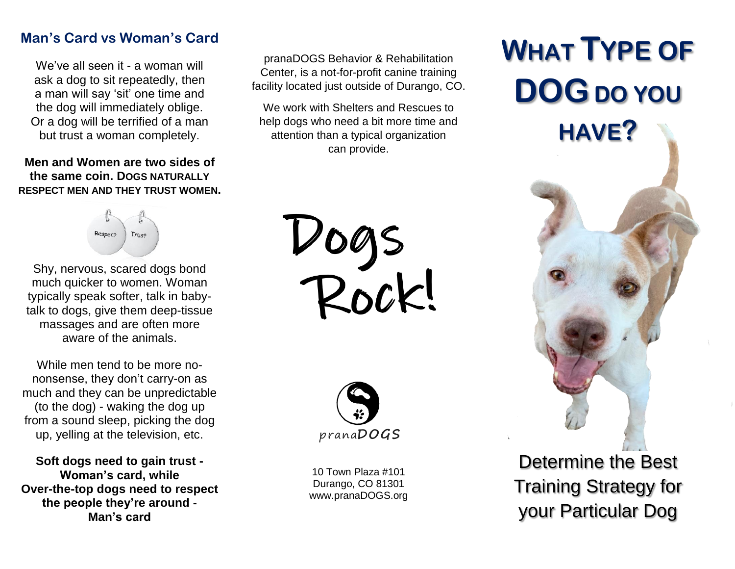## **Man's Card vs Woman's Card**

We've all seen it - a woman will ask a dog to sit repeatedly, then a man will say 'sit' one time and the dog will immediately oblige. Or a dog will be terrified of a man but trust a woman completely.

## **Men and Women are two sides of the same coin. DOGS NATURALLY RESPECT MEN AND THEY TRUST WOMEN.**



Shy, nervous, scared dogs bond much quicker to women. Woman typically speak softer, talk in babytalk to dogs, give them deep-tissue massages and are often more aware of the animals.

While men tend to be more nononsense, they don't carry-on as much and they can be unpredictable (to the dog) - waking the dog up from a sound sleep, picking the dog up, yelling at the television, etc.

**Soft dogs need to gain trust - Woman's card, while Over-the-top dogs need to respect the people they're around - Man's card**

pranaDOGS Behavior & Rehabilitation Center, is a not-for-profit canine training facility located just outside of Durango, CO.

We work with Shelters and Rescues to help dogs who need a bit more time and attention than a typical organization can provide.

Dogs<br>Rock!



10 Town Plaza #101 Durango, CO 81301 www.pranaDOGS.org

## **WHAT TYPE OF DOGDO YOU HAVE?**



Determine the Best Training Strategy for your Particular Dog